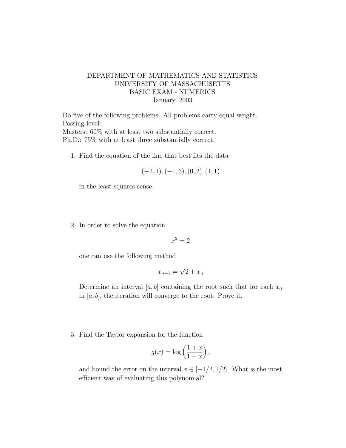## DEPARTMENT OF MATHEMATICS AND STATISTICS UNIVERSITY OF MASSACHUSETTS BASIC EXAM - NUMERICS January, 2003

Do five of the following problems. All problems carry equal weight. Passing level: Masters: 60% with at least two substantially correct. Ph.D.: 75% with at least three substantially correct.

1. Find the equation of the line that best fits the data

$$
(-2, 1), (-1, 3), (0, 2), (1, 1)
$$

in the least squares sense.

2. In order to solve the equation

 $x^2 = 2$ 

one can use the following method

$$
x_{n+1} = \sqrt{2 + x_n}
$$

Determine an interval [a, b] containing the root such that for each  $x_0$ in  $[a, b]$ , the iteration will converge to the root. Prove it.

3. Find the Taylor expansion for the function

$$
g(x) = \log\left(\frac{1+x}{1-x}\right),\,
$$

and bound the error on the interval  $x \in [-1/2, 1/2]$ . What is the most efficient way of evaluating this polynomial?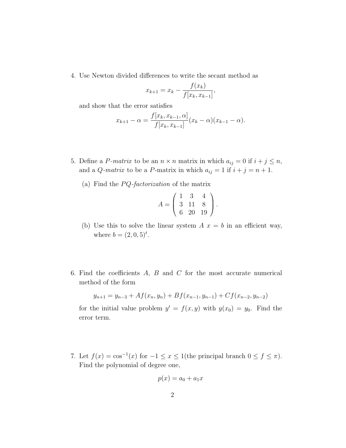4. Use Newton divided differences to write the secant method as

$$
x_{k+1} = x_k - \frac{f(x_k)}{f[x_k, x_{k-1}]},
$$

and show that the error satisfies

$$
x_{k+1} - \alpha = \frac{f[x_k, x_{k-1}, \alpha]}{f[x_k, x_{k-1}]} (x_k - \alpha)(x_{k-1} - \alpha).
$$

- 5. Define a P-matrix to be an  $n \times n$  matrix in which  $a_{ij} = 0$  if  $i + j \leq n$ , and a *Q*-matrix to be a *P*-matrix in which  $a_{ij} = 1$  if  $i + j = n + 1$ .
	- (a) Find the  $PQ$ -factorization of the matrix

$$
A = \left(\begin{array}{rrr} 1 & 3 & 4 \\ 3 & 11 & 8 \\ 6 & 20 & 19 \end{array}\right).
$$

- (b) Use this to solve the linear system  $A x = b$  in an efficient way, where  $b = (2, 0, 5)^t$ .
- 6. Find the coefficients  $A$ ,  $B$  and  $C$  for the most accurate numerical method of the form

$$
y_{n+1} = y_{n-3} + Af(x_n, y_n) + Bf(x_{n-1}, y_{n-1}) + Cf(x_{n-2}, y_{n-2})
$$

for the initial value problem  $y' = f(x, y)$  with  $y(x_0) = y_0$ . Find the error term.

7. Let  $f(x) = \cos^{-1}(x)$  for  $-1 \le x \le 1$  (the principal branch  $0 \le f \le \pi$ ). Find the polynomial of degree one,

$$
p(x) = a_0 + a_1 x
$$